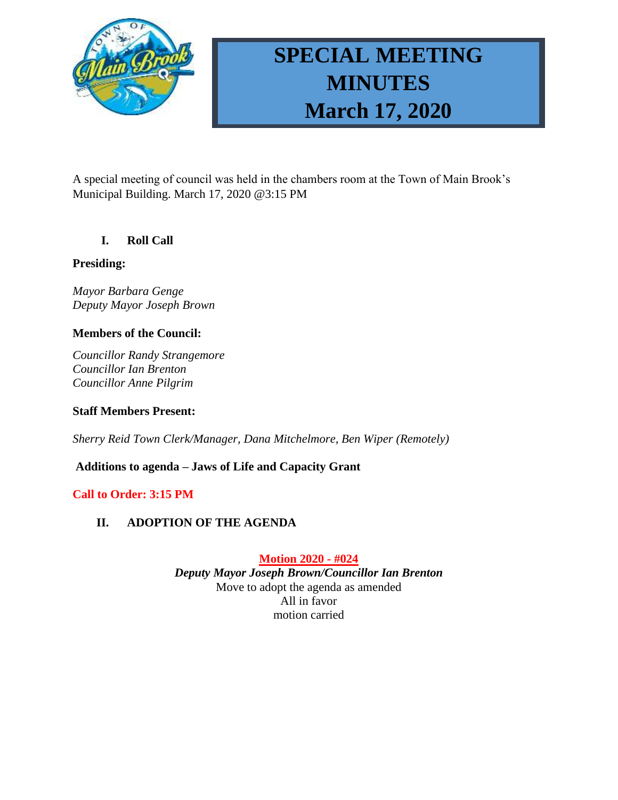

# **SPECIAL MEETING MINUTES March 17, 2020**

A special meeting of council was held in the chambers room at the Town of Main Brook's Municipal Building. March 17, 2020 @3:15 PM

## **I. Roll Call**

#### **Presiding:**

*Mayor Barbara Genge Deputy Mayor Joseph Brown*

## **Members of the Council:**

*Councillor Randy Strangemore Councillor Ian Brenton Councillor Anne Pilgrim*

#### **Staff Members Present:**

*Sherry Reid Town Clerk/Manager, Dana Mitchelmore, Ben Wiper (Remotely)*

## **Additions to agenda – Jaws of Life and Capacity Grant**

## **Call to Order: 3:15 PM**

## **II. ADOPTION OF THE AGENDA**

**Motion 2020 - #024**

*Deputy Mayor Joseph Brown/Councillor Ian Brenton* Move to adopt the agenda as amended All in favor motion carried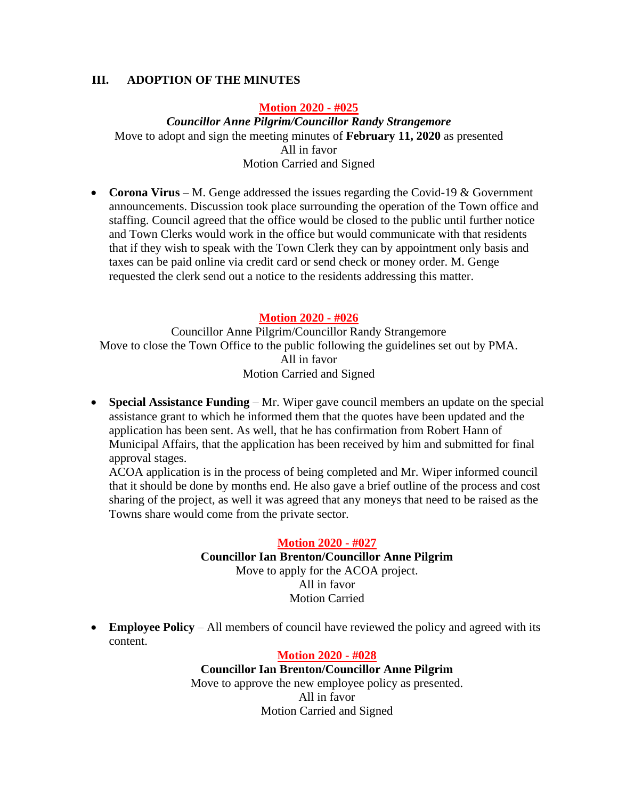### **III. ADOPTION OF THE MINUTES**

#### **Motion 2020 - #025**

*Councillor Anne Pilgrim/Councillor Randy Strangemore* Move to adopt and sign the meeting minutes of **February 11, 2020** as presented All in favor Motion Carried and Signed

• **Corona Virus** – M. Genge addressed the issues regarding the Covid-19 & Government announcements. Discussion took place surrounding the operation of the Town office and staffing. Council agreed that the office would be closed to the public until further notice and Town Clerks would work in the office but would communicate with that residents that if they wish to speak with the Town Clerk they can by appointment only basis and taxes can be paid online via credit card or send check or money order. M. Genge requested the clerk send out a notice to the residents addressing this matter.

#### **Motion 2020 - #026**

Councillor Anne Pilgrim/Councillor Randy Strangemore Move to close the Town Office to the public following the guidelines set out by PMA. All in favor Motion Carried and Signed

• **Special Assistance Funding** – Mr. Wiper gave council members an update on the special assistance grant to which he informed them that the quotes have been updated and the application has been sent. As well, that he has confirmation from Robert Hann of Municipal Affairs, that the application has been received by him and submitted for final approval stages.

ACOA application is in the process of being completed and Mr. Wiper informed council that it should be done by months end. He also gave a brief outline of the process and cost sharing of the project, as well it was agreed that any moneys that need to be raised as the Towns share would come from the private sector.

#### **Motion 2020 - #027**

#### **Councillor Ian Brenton/Councillor Anne Pilgrim**

Move to apply for the ACOA project. All in favor Motion Carried

• **Employee Policy** – All members of council have reviewed the policy and agreed with its content.

#### **Motion 2020 - #028**

#### **Councillor Ian Brenton/Councillor Anne Pilgrim**

Move to approve the new employee policy as presented. All in favor Motion Carried and Signed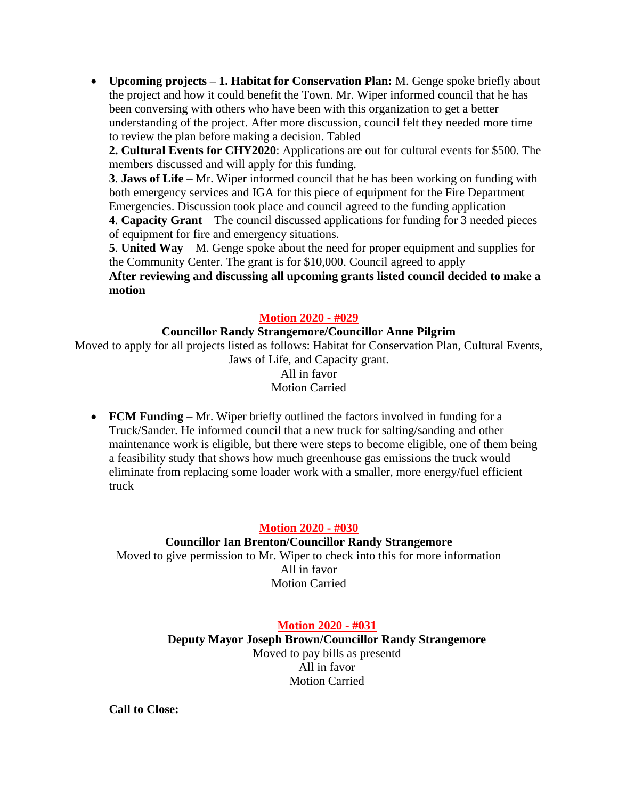• **Upcoming projects – 1. Habitat for Conservation Plan:** M. Genge spoke briefly about the project and how it could benefit the Town. Mr. Wiper informed council that he has been conversing with others who have been with this organization to get a better understanding of the project. After more discussion, council felt they needed more time to review the plan before making a decision. Tabled

**2. Cultural Events for CHY2020**: Applications are out for cultural events for \$500. The members discussed and will apply for this funding.

**3**. **Jaws of Life** – Mr. Wiper informed council that he has been working on funding with both emergency services and IGA for this piece of equipment for the Fire Department Emergencies. Discussion took place and council agreed to the funding application

**4**. **Capacity Grant** – The council discussed applications for funding for 3 needed pieces of equipment for fire and emergency situations.

**5**. **United Way** – M. Genge spoke about the need for proper equipment and supplies for the Community Center. The grant is for \$10,000. Council agreed to apply

**After reviewing and discussing all upcoming grants listed council decided to make a motion**

## **Motion 2020 - #029**

#### **Councillor Randy Strangemore/Councillor Anne Pilgrim**

Moved to apply for all projects listed as follows: Habitat for Conservation Plan, Cultural Events, Jaws of Life, and Capacity grant. All in favor Motion Carried

• **FCM Funding** – Mr. Wiper briefly outlined the factors involved in funding for a Truck/Sander. He informed council that a new truck for salting/sanding and other maintenance work is eligible, but there were steps to become eligible, one of them being a feasibility study that shows how much greenhouse gas emissions the truck would eliminate from replacing some loader work with a smaller, more energy/fuel efficient truck

## **Motion 2020 - #030**

**Councillor Ian Brenton/Councillor Randy Strangemore** Moved to give permission to Mr. Wiper to check into this for more information All in favor Motion Carried

**Motion 2020 - #031**

**Deputy Mayor Joseph Brown/Councillor Randy Strangemore** Moved to pay bills as presentd All in favor Motion Carried

**Call to Close:**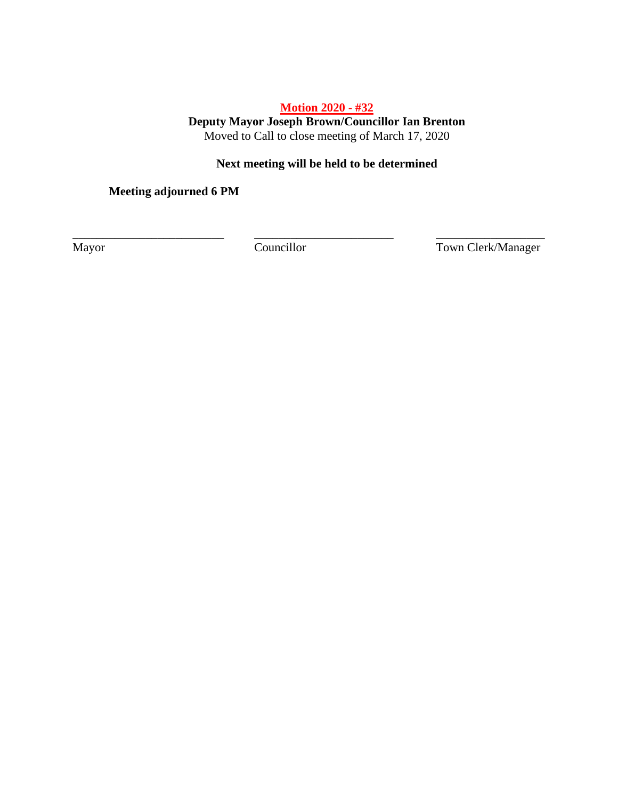## **Motion 2020 - #32**

**Deputy Mayor Joseph Brown/Councillor Ian Brenton** Moved to Call to close meeting of March 17, 2020

## **Next meeting will be held to be determined**

**Meeting adjourned 6 PM**

\_\_\_\_\_\_\_\_\_\_\_\_\_\_\_\_\_\_\_\_\_\_\_\_\_ \_\_\_\_\_\_\_\_\_\_\_\_\_\_\_\_\_\_\_\_\_\_\_ \_\_\_\_\_\_\_\_\_\_\_\_\_\_\_\_\_\_

Mayor Councillor Councillor Town Clerk/Manager